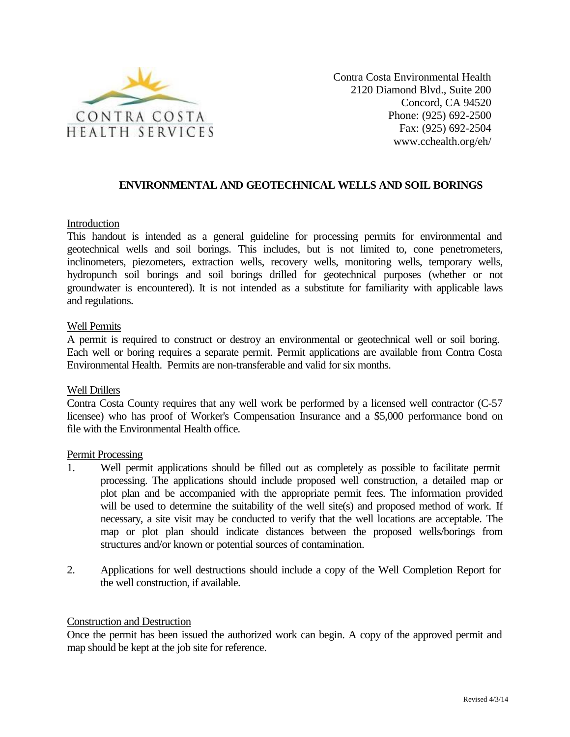

Contra Costa Environmental Health 2120 Diamond Blvd., Suite 200 Concord, CA 94520 Phone: (925) 692-2500 Fax: (925) 692-2504 www.cchealth.org/eh/

# **ENVIRONMENTAL AND GEOTECHNICAL WELLS AND SOIL BORINGS**

## Introduction

This handout is intended as a general guideline for processing permits for environmental and geotechnical wells and soil borings. This includes, but is not limited to, cone penetrometers, inclinometers, piezometers, extraction wells, recovery wells, monitoring wells, temporary wells, hydropunch soil borings and soil borings drilled for geotechnical purposes (whether or not groundwater is encountered). It is not intended as a substitute for familiarity with applicable laws and regulations.

## Well Permits

A permit is required to construct or destroy an environmental or geotechnical well or soil boring. Each well or boring requires a separate permit. Permit applications are available from Contra Costa Environmental Health. Permits are non-transferable and valid for six months.

### Well Drillers

Contra Costa County requires that any well work be performed by a licensed well contractor (C-57 licensee) who has proof of Worker's Compensation Insurance and a \$5,000 performance bond on file with the Environmental Health office.

### Permit Processing

- 1. Well permit applications should be filled out as completely as possible to facilitate permit processing. The applications should include proposed well construction, a detailed map or plot plan and be accompanied with the appropriate permit fees. The information provided will be used to determine the suitability of the well site(s) and proposed method of work. If necessary, a site visit may be conducted to verify that the well locations are acceptable. The map or plot plan should indicate distances between the proposed wells/borings from structures and/or known or potential sources of contamination.
- 2. Applications for well destructions should include a copy of the Well Completion Report for the well construction, if available.

### Construction and Destruction

Once the permit has been issued the authorized work can begin. A copy of the approved permit and map should be kept at the job site for reference.